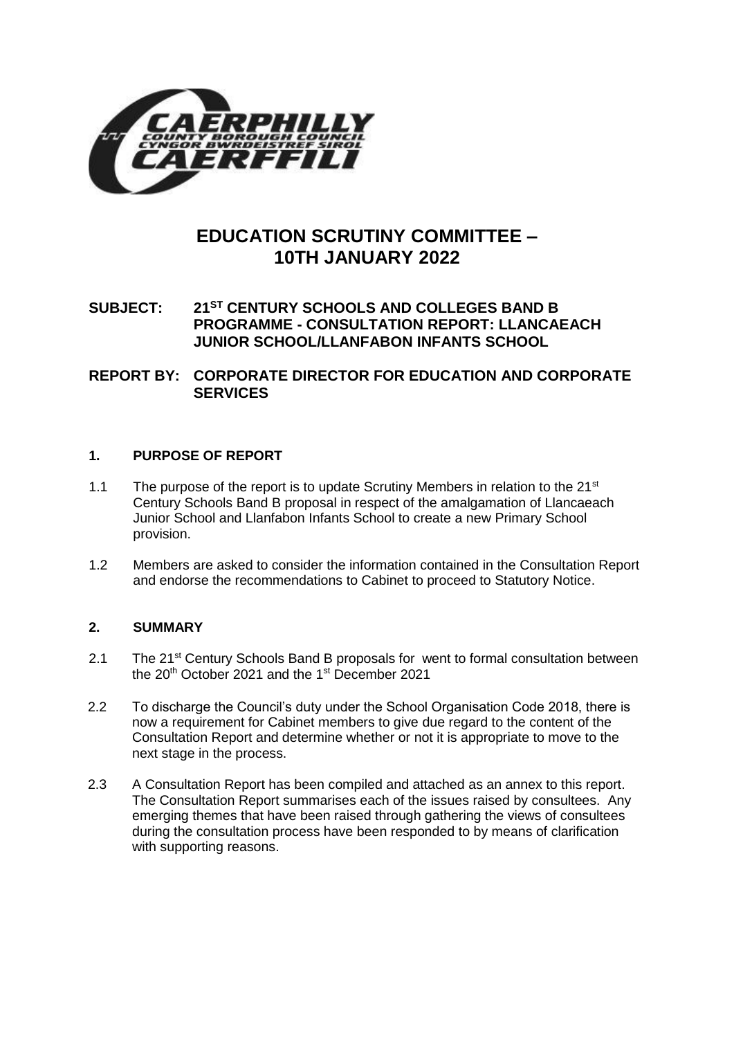

# **EDUCATION SCRUTINY COMMITTEE – 10TH JANUARY 2022**

# **SUBJECT: 21ST CENTURY SCHOOLS AND COLLEGES BAND B PROGRAMME - CONSULTATION REPORT: LLANCAEACH JUNIOR SCHOOL/LLANFABON INFANTS SCHOOL**

**REPORT BY: CORPORATE DIRECTOR FOR EDUCATION AND CORPORATE SERVICES**

## **1. PURPOSE OF REPORT**

- 1.1 The purpose of the report is to update Scrutiny Members in relation to the  $21^{st}$ Century Schools Band B proposal in respect of the amalgamation of Llancaeach Junior School and Llanfabon Infants School to create a new Primary School provision.
- 1.2 Members are asked to consider the information contained in the Consultation Report and endorse the recommendations to Cabinet to proceed to Statutory Notice.

### **2. SUMMARY**

- 2.1 The 21<sup>st</sup> Century Schools Band B proposals for went to formal consultation between the  $20<sup>th</sup>$  October 2021 and the 1<sup>st</sup> December 2021
- 2.2 To discharge the Council's duty under the School Organisation Code 2018, there is now a requirement for Cabinet members to give due regard to the content of the Consultation Report and determine whether or not it is appropriate to move to the next stage in the process.
- 2.3 A Consultation Report has been compiled and attached as an annex to this report. The Consultation Report summarises each of the issues raised by consultees. Any emerging themes that have been raised through gathering the views of consultees during the consultation process have been responded to by means of clarification with supporting reasons.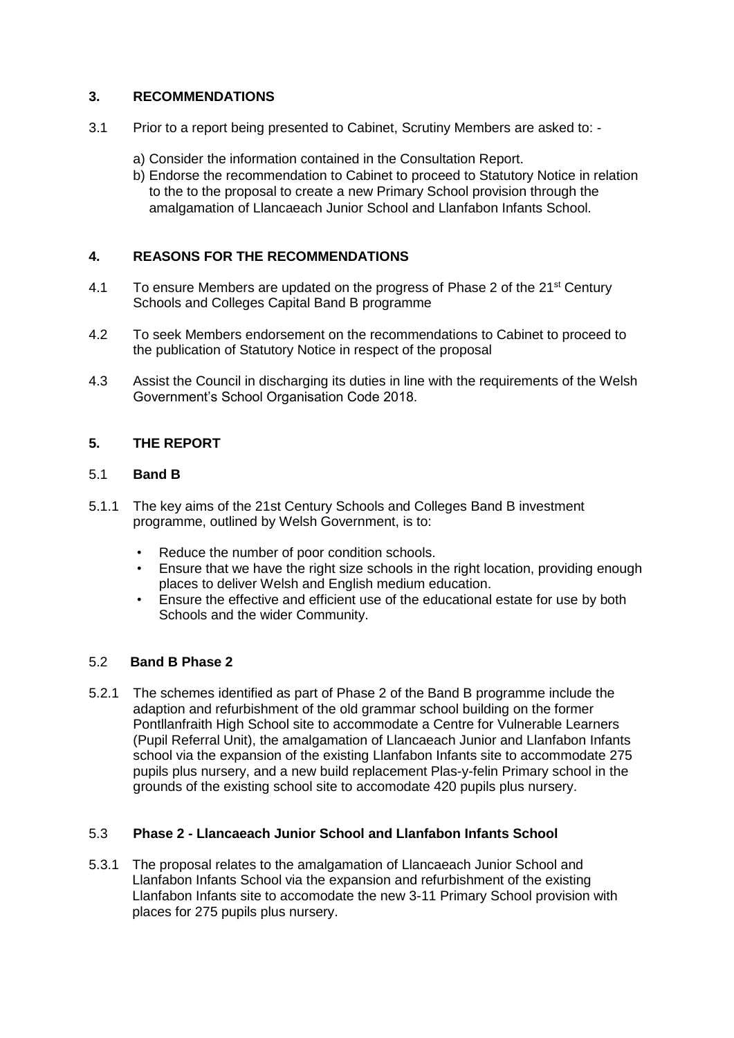## **3. RECOMMENDATIONS**

- 3.1 Prior to a report being presented to Cabinet, Scrutiny Members are asked to:
	- a) Consider the information contained in the Consultation Report.
	- b) Endorse the recommendation to Cabinet to proceed to Statutory Notice in relation to the to the proposal to create a new Primary School provision through the amalgamation of Llancaeach Junior School and Llanfabon Infants School.

## **4. REASONS FOR THE RECOMMENDATIONS**

- 4.1 To ensure Members are updated on the progress of Phase 2 of the  $21<sup>st</sup>$  Century Schools and Colleges Capital Band B programme
- 4.2 To seek Members endorsement on the recommendations to Cabinet to proceed to the publication of Statutory Notice in respect of the proposal
- 4.3 Assist the Council in discharging its duties in line with the requirements of the Welsh Government's School Organisation Code 2018.

## **5. THE REPORT**

### 5.1 **Band B**

- 5.1.1 The key aims of the 21st Century Schools and Colleges Band B investment programme, outlined by Welsh Government, is to:
	- Reduce the number of poor condition schools.
	- Ensure that we have the right size schools in the right location, providing enough places to deliver Welsh and English medium education.
	- Ensure the effective and efficient use of the educational estate for use by both Schools and the wider Community.

### 5.2 **Band B Phase 2**

5.2.1 The schemes identified as part of Phase 2 of the Band B programme include the adaption and refurbishment of the old grammar school building on the former Pontllanfraith High School site to accommodate a Centre for Vulnerable Learners (Pupil Referral Unit), the amalgamation of Llancaeach Junior and Llanfabon Infants school via the expansion of the existing Llanfabon Infants site to accommodate 275 pupils plus nursery, and a new build replacement Plas-y-felin Primary school in the grounds of the existing school site to accomodate 420 pupils plus nursery.

### 5.3 **Phase 2 - Llancaeach Junior School and Llanfabon Infants School**

5.3.1 The proposal relates to the amalgamation of Llancaeach Junior School and Llanfabon Infants School via the expansion and refurbishment of the existing Llanfabon Infants site to accomodate the new 3-11 Primary School provision with places for 275 pupils plus nursery.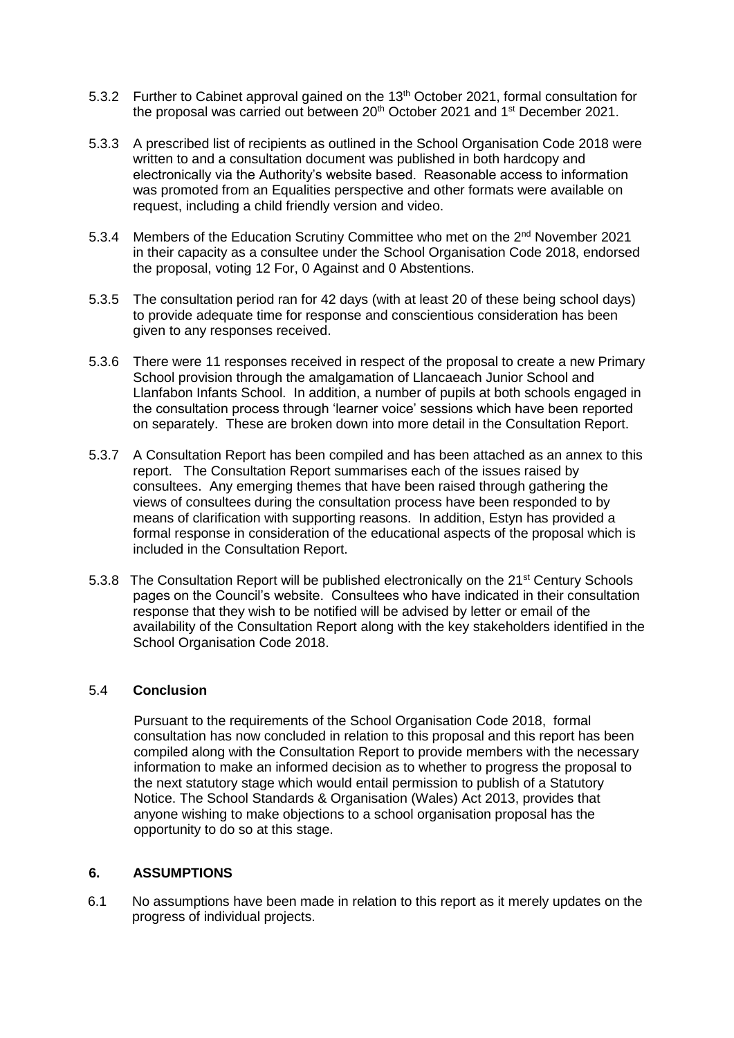- 5.3.2 Further to Cabinet approval gained on the 13<sup>th</sup> October 2021, formal consultation for the proposal was carried out between 20<sup>th</sup> October 2021 and 1<sup>st</sup> December 2021.
- 5.3.3 A prescribed list of recipients as outlined in the School Organisation Code 2018 were written to and a consultation document was published in both hardcopy and electronically via the Authority's website based. Reasonable access to information was promoted from an Equalities perspective and other formats were available on request, including a child friendly version and video.
- 5.3.4 Members of the Education Scrutiny Committee who met on the 2<sup>nd</sup> November 2021 in their capacity as a consultee under the School Organisation Code 2018, endorsed the proposal, voting 12 For, 0 Against and 0 Abstentions.
- 5.3.5 The consultation period ran for 42 days (with at least 20 of these being school days) to provide adequate time for response and conscientious consideration has been given to any responses received.
- 5.3.6 There were 11 responses received in respect of the proposal to create a new Primary School provision through the amalgamation of Llancaeach Junior School and Llanfabon Infants School. In addition, a number of pupils at both schools engaged in the consultation process through 'learner voice' sessions which have been reported on separately. These are broken down into more detail in the Consultation Report.
- 5.3.7 A Consultation Report has been compiled and has been attached as an annex to this report. The Consultation Report summarises each of the issues raised by consultees. Any emerging themes that have been raised through gathering the views of consultees during the consultation process have been responded to by means of clarification with supporting reasons. In addition, Estyn has provided a formal response in consideration of the educational aspects of the proposal which is included in the Consultation Report.
- 5.3.8 The Consultation Report will be published electronically on the 21<sup>st</sup> Century Schools pages on the Council's website. Consultees who have indicated in their consultation response that they wish to be notified will be advised by letter or email of the availability of the Consultation Report along with the key stakeholders identified in the School Organisation Code 2018.

### 5.4 **Conclusion**

Pursuant to the requirements of the School Organisation Code 2018, formal consultation has now concluded in relation to this proposal and this report has been compiled along with the Consultation Report to provide members with the necessary information to make an informed decision as to whether to progress the proposal to the next statutory stage which would entail permission to publish of a Statutory Notice. The School Standards & Organisation (Wales) Act 2013, provides that anyone wishing to make objections to a school organisation proposal has the opportunity to do so at this stage.

#### **6. ASSUMPTIONS**

6.1 No assumptions have been made in relation to this report as it merely updates on the progress of individual projects.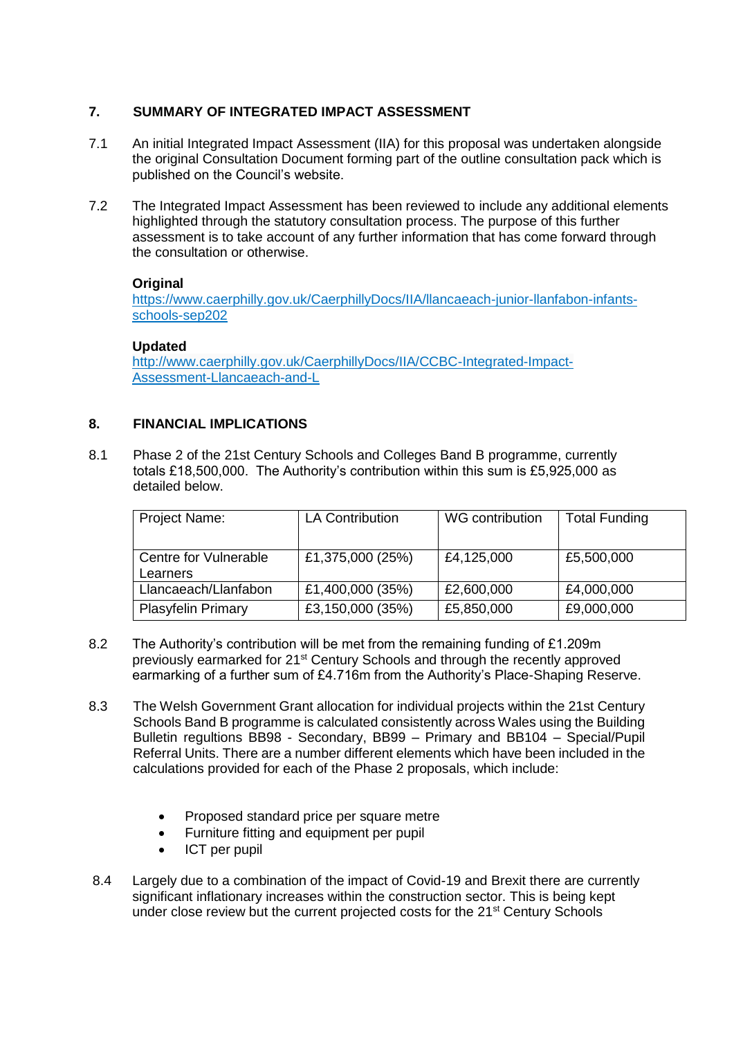## **7. SUMMARY OF INTEGRATED IMPACT ASSESSMENT**

- 7.1 An initial Integrated Impact Assessment (IIA) for this proposal was undertaken alongside the original Consultation Document forming part of the outline consultation pack which is published on the Council's website.
- 7.2 The Integrated Impact Assessment has been reviewed to include any additional elements highlighted through the statutory consultation process. The purpose of this further assessment is to take account of any further information that has come forward through the consultation or otherwise.

## **Original**

[https://www.caerphilly.gov.uk/CaerphillyDocs/IIA/llancaeach-junior-llanfabon-infants](https://www.caerphilly.gov.uk/CaerphillyDocs/IIA/llancaeach-junior-llanfabon-infants-schools-sep202)[schools-sep202](https://www.caerphilly.gov.uk/CaerphillyDocs/IIA/llancaeach-junior-llanfabon-infants-schools-sep202)

## **Updated**

[http://www.caerphilly.gov.uk/CaerphillyDocs/IIA/CCBC-Integrated-Impact-](http://www.caerphilly.gov.uk/CaerphillyDocs/IIA/CCBC-Integrated-Impact-Assessment-Llancaeach-and-L)[Assessment-Llancaeach-and-L](http://www.caerphilly.gov.uk/CaerphillyDocs/IIA/CCBC-Integrated-Impact-Assessment-Llancaeach-and-L)

## **8. FINANCIAL IMPLICATIONS**

8.1 Phase 2 of the 21st Century Schools and Colleges Band B programme, currently totals £18,500,000. The Authority's contribution within this sum is £5,925,000 as detailed below.

| Project Name:                     | <b>LA Contribution</b> | WG contribution | <b>Total Funding</b> |
|-----------------------------------|------------------------|-----------------|----------------------|
| Centre for Vulnerable<br>Learners | £1,375,000 (25%)       | £4,125,000      | £5,500,000           |
| Llancaeach/Llanfabon              | £1,400,000 (35%)       | £2,600,000      | £4,000,000           |
| <b>Plasyfelin Primary</b>         | £3,150,000 (35%)       | £5,850,000      | £9,000,000           |

- 8.2 The Authority's contribution will be met from the remaining funding of £1.209m previously earmarked for 21st Century Schools and through the recently approved earmarking of a further sum of £4.716m from the Authority's Place-Shaping Reserve.
- 8.3 The Welsh Government Grant allocation for individual projects within the 21st Century Schools Band B programme is calculated consistently across Wales using the Building Bulletin regultions BB98 - Secondary, BB99 – Primary and BB104 – Special/Pupil Referral Units. There are a number different elements which have been included in the calculations provided for each of the Phase 2 proposals, which include:
	- Proposed standard price per square metre
	- Furniture fitting and equipment per pupil
	- ICT per pupil
- 8.4 Largely due to a combination of the impact of Covid-19 and Brexit there are currently significant inflationary increases within the construction sector. This is being kept under close review but the current projected costs for the 21<sup>st</sup> Century Schools